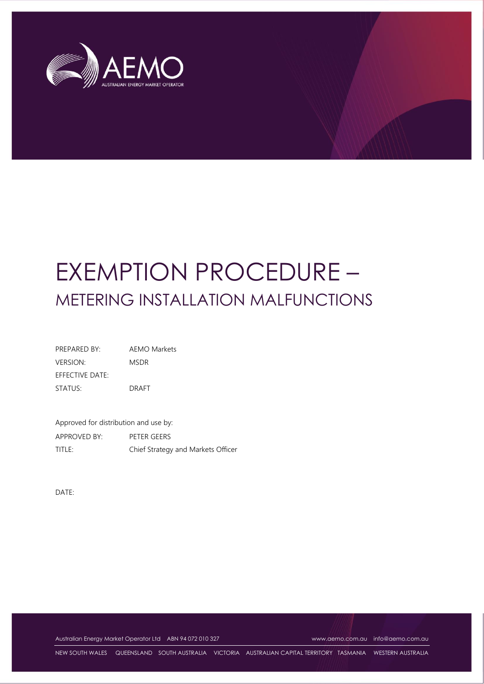

# EXEMPTION PROCEDURE – METERING INSTALLATION MALFUNCTIONS

PREPARED BY: AEMO Markets VERSION: MSDR EFFECTIVE DATE: STATUS: DRAFT

Approved for distribution and use by: APPROVED BY: PETER GEERS TITLE: Chief Strategy and Markets Officer

DATE:

Australian Energy Market Operator Ltd ABN 94 072 010 327 [www.aemo.com.au](http://www.aemo.com.au/) [info@aemo.com.au](mailto:info@aemo.com.au)

NEW SOUTH WALES QUEENSLAND SOUTH AUSTRALIA VICTORIA AUSTRALIAN CAPITAL TERRITORY TASMANIA WESTERN AUSTRALIA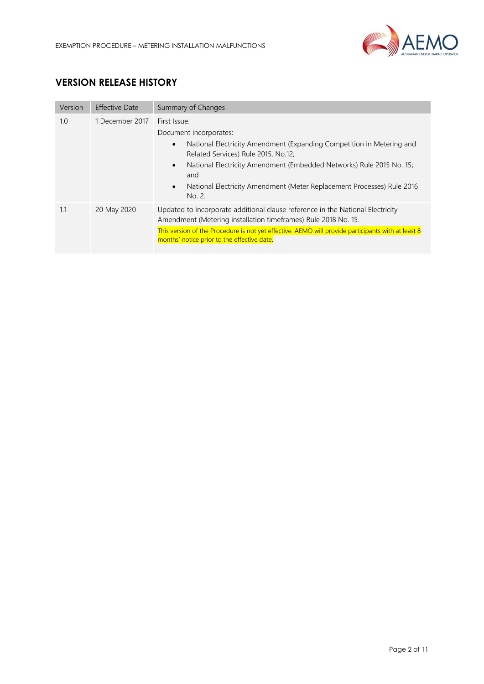

# **VERSION RELEASE HISTORY**

| Version | <b>Effective Date</b> | Summary of Changes                                                                                                                                                                                                                                                                                                                                  |  |
|---------|-----------------------|-----------------------------------------------------------------------------------------------------------------------------------------------------------------------------------------------------------------------------------------------------------------------------------------------------------------------------------------------------|--|
| 1.0     | 1 December 2017       | First Issue.<br>Document incorporates:<br>National Electricity Amendment (Expanding Competition in Metering and<br>$\bullet$<br>Related Services) Rule 2015, No.12;<br>National Electricity Amendment (Embedded Networks) Rule 2015 No. 15;<br>$\bullet$<br>and<br>National Electricity Amendment (Meter Replacement Processes) Rule 2016<br>No. 2. |  |
| 1.1     | 20 May 2020           | Updated to incorporate additional clause reference in the National Electricity<br>Amendment (Metering installation timeframes) Rule 2018 No. 15.                                                                                                                                                                                                    |  |
|         |                       | This version of the Procedure is not yet effective. AEMO will provide participants with at least 8<br>months' notice prior to the effective date.                                                                                                                                                                                                   |  |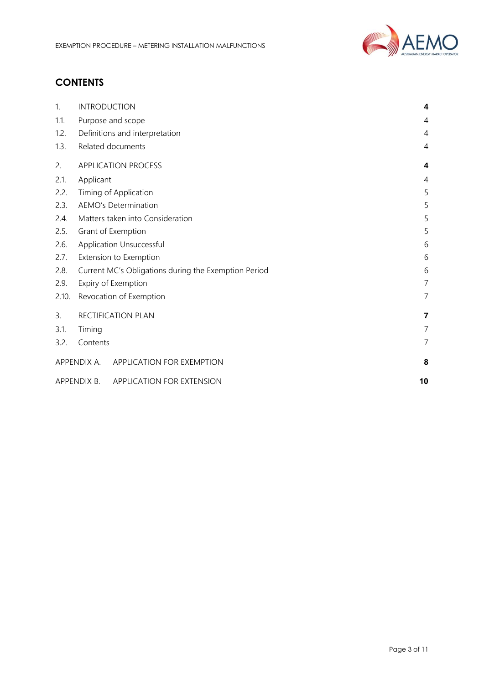

# **CONTENTS**

| 1.    | <b>INTRODUCTION</b>                                  | 4              |
|-------|------------------------------------------------------|----------------|
| 1.1.  | Purpose and scope                                    | $\overline{4}$ |
| 1.2.  | Definitions and interpretation                       | $\overline{4}$ |
| 1.3.  | Related documents                                    | 4              |
| 2.    | <b>APPLICATION PROCESS</b>                           | 4              |
| 2.1.  | Applicant                                            | $\overline{4}$ |
| 2.2.  | Timing of Application                                | 5              |
| 2.3.  | <b>AEMO's Determination</b>                          | 5              |
| 2.4.  | Matters taken into Consideration                     | 5              |
| 2.5.  | Grant of Exemption                                   | 5              |
| 2.6.  | Application Unsuccessful                             | 6              |
| 2.7.  | Extension to Exemption                               |                |
| 2.8.  | Current MC's Obligations during the Exemption Period |                |
| 2.9.  | Expiry of Exemption                                  |                |
| 2.10. | Revocation of Exemption                              | $\overline{7}$ |
| 3.    | RECTIFICATION PLAN                                   | 7              |
| 3.1.  | Timing                                               | 7              |
| 3.2.  | Contents                                             | $\overline{7}$ |
|       | APPENDIX A. APPLICATION FOR EXEMPTION                | 8              |
|       | APPENDIX B.<br>APPLICATION FOR EXTENSION             | 10             |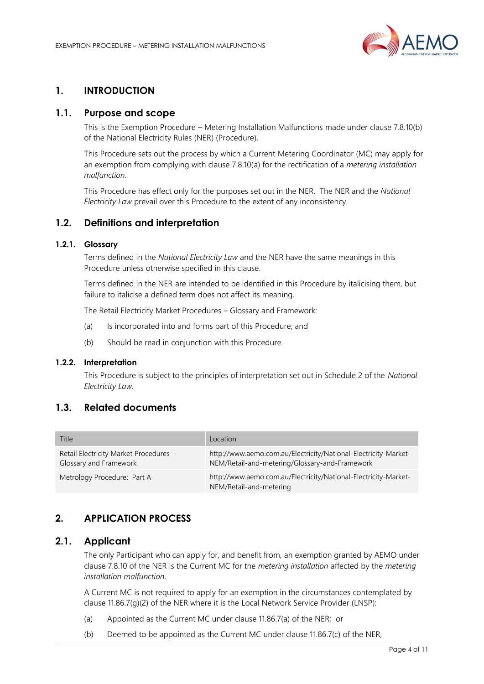

## <span id="page-3-0"></span>**1. INTRODUCTION**

#### <span id="page-3-1"></span>**1.1. Purpose and scope**

This is the Exemption Procedure – Metering Installation Malfunctions made under clause 7.8.10(b) of the National Electricity Rules (NER) (Procedure).

This Procedure sets out the process by which a Current Metering Coordinator (MC) may apply for an exemption from complying with clause 7.8.10(a) for the rectification of a *metering installation malfunction.*

This Procedure has effect only for the purposes set out in the NER. The NER and the *National Electricity Law* prevail over this Procedure to the extent of any inconsistency.

#### <span id="page-3-2"></span>**1.2. Definitions and interpretation**

#### **1.2.1. Glossary**

Terms defined in the *National Electricity Law* and the NER have the same meanings in this Procedure unless otherwise specified in this clause.

Terms defined in the NER are intended to be identified in this Procedure by italicising them, but failure to italicise a defined term does not affect its meaning.

The Retail Electricity Market Procedures – Glossary and Framework:

- (a) Is incorporated into and forms part of this Procedure; and
- (b) Should be read in conjunction with this Procedure.

#### **1.2.2. Interpretation**

This Procedure is subject to the principles of interpretation set out in Schedule 2 of the *National Electricity Law.*

## <span id="page-3-3"></span>**1.3. Related documents**

| Title                                                            | Location                                                                                                          |
|------------------------------------------------------------------|-------------------------------------------------------------------------------------------------------------------|
| Retail Electricity Market Procedures -<br>Glossary and Framework | http://www.aemo.com.au/Electricity/National-Electricity-Market-<br>NEM/Retail-and-metering/Glossary-and-Framework |
| Metrology Procedure: Part A                                      | http://www.aemo.com.au/Electricity/National-Electricity-Market-<br>NEM/Retail-and-metering                        |

#### <span id="page-3-4"></span>**2. APPLICATION PROCESS**

#### <span id="page-3-5"></span>**2.1. Applicant**

The only Participant who can apply for, and benefit from, an exemption granted by AEMO under clause 7.8.10 of the NER is the Current MC for the *metering installation* affected by the *metering installation malfunction*.

A Current MC is not required to apply for an exemption in the circumstances contemplated by clause 11.86.7(g)(2) of the NER where it is the Local Network Service Provider (LNSP):

- (a) Appointed as the Current MC under clause 11.86.7(a) of the NER; or
- (b) Deemed to be appointed as the Current MC under clause 11.86.7(c) of the NER,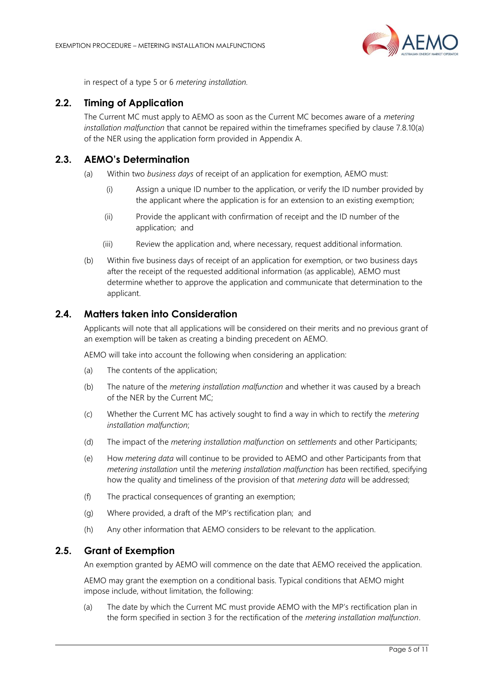

in respect of a type 5 or 6 *metering installation.*

#### <span id="page-4-0"></span>**2.2. Timing of Application**

The Current MC must apply to AEMO as soon as the Current MC becomes aware of a *metering installation malfunction* that cannot be repaired within the timeframes specified by clause 7.8.10(a) of the NER using the application form provided in Appendix A.

### <span id="page-4-1"></span>**2.3. AEMO's Determination**

- (a) Within two *business days* of receipt of an application for exemption, AEMO must:
	- (i) Assign a unique ID number to the application, or verify the ID number provided by the applicant where the application is for an extension to an existing exemption;
	- (ii) Provide the applicant with confirmation of receipt and the ID number of the application; and
	- (iii) Review the application and, where necessary, request additional information.
- (b) Within five business days of receipt of an application for exemption, or two business days after the receipt of the requested additional information (as applicable), AEMO must determine whether to approve the application and communicate that determination to the applicant.

#### <span id="page-4-2"></span>**2.4. Matters taken into Consideration**

Applicants will note that all applications will be considered on their merits and no previous grant of an exemption will be taken as creating a binding precedent on AEMO.

AEMO will take into account the following when considering an application:

- (a) The contents of the application;
- (b) The nature of the *metering installation malfunction* and whether it was caused by a breach of the NER by the Current MC;
- (c) Whether the Current MC has actively sought to find a way in which to rectify the *metering installation malfunction*;
- (d) The impact of the *metering installation malfunction* on *settlements* and other Participants;
- (e) How *metering data* will continue to be provided to AEMO and other Participants from that *metering installation* until the *metering installation malfunction* has been rectified, specifying how the quality and timeliness of the provision of that *metering data* will be addressed;
- (f) The practical consequences of granting an exemption;
- (g) Where provided, a draft of the MP's rectification plan; and
- (h) Any other information that AEMO considers to be relevant to the application.

#### <span id="page-4-3"></span>**2.5. Grant of Exemption**

An exemption granted by AEMO will commence on the date that AEMO received the application.

AEMO may grant the exemption on a conditional basis. Typical conditions that AEMO might impose include, without limitation, the following:

(a) The date by which the Current MC must provide AEMO with the MP's rectification plan in the form specified in section 3 for the rectification of the *metering installation malfunction*.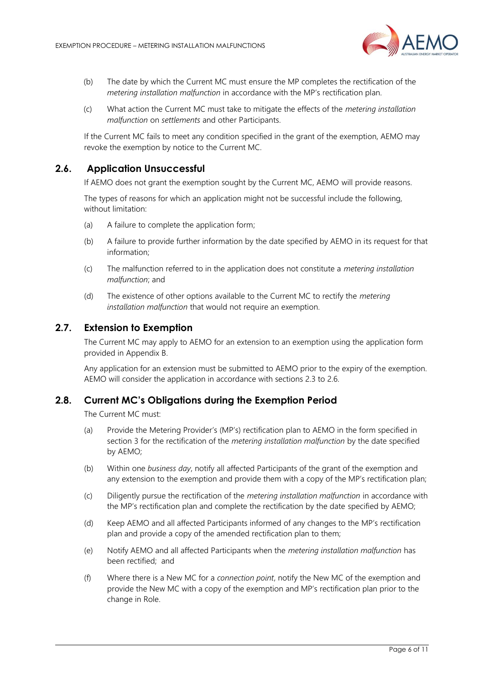

- (b) The date by which the Current MC must ensure the MP completes the rectification of the *metering installation malfunction* in accordance with the MP's rectification plan.
- (c) What action the Current MC must take to mitigate the effects of the *metering installation malfunction* on *settlements* and other Participants.

If the Current MC fails to meet any condition specified in the grant of the exemption, AEMO may revoke the exemption by notice to the Current MC.

#### **2.6. Application Unsuccessful**

<span id="page-5-0"></span>If AEMO does not grant the exemption sought by the Current MC, AEMO will provide reasons.

The types of reasons for which an application might not be successful include the following, without limitation:

- (a) A failure to complete the application form;
- (b) A failure to provide further information by the date specified by AEMO in its request for that information;
- (c) The malfunction referred to in the application does not constitute a *metering installation malfunction*; and
- (d) The existence of other options available to the Current MC to rectify the *metering installation malfunction* that would not require an exemption.

#### <span id="page-5-1"></span>**2.7. Extension to Exemption**

The Current MC may apply to AEMO for an extension to an exemption using the application form provided in Appendix B.

Any application for an extension must be submitted to AEMO prior to the expiry of the exemption. AEMO will consider the application in accordance with sections 2.3 to 2.6.

#### <span id="page-5-2"></span>**2.8. Current MC's Obligations during the Exemption Period**

The Current MC must:

- (a) Provide the Metering Provider's (MP's) rectification plan to AEMO in the form specified in section 3 for the rectification of the *metering installation malfunction* by the date specified by AEMO;
- (b) Within one *business day*, notify all affected Participants of the grant of the exemption and any extension to the exemption and provide them with a copy of the MP's rectification plan;
- (c) Diligently pursue the rectification of the *metering installation malfunction* in accordance with the MP's rectification plan and complete the rectification by the date specified by AEMO;
- (d) Keep AEMO and all affected Participants informed of any changes to the MP's rectification plan and provide a copy of the amended rectification plan to them;
- (e) Notify AEMO and all affected Participants when the *metering installation malfunction* has been rectified; and
- (f) Where there is a New MC for a *connection point*, notify the New MC of the exemption and provide the New MC with a copy of the exemption and MP's rectification plan prior to the change in Role.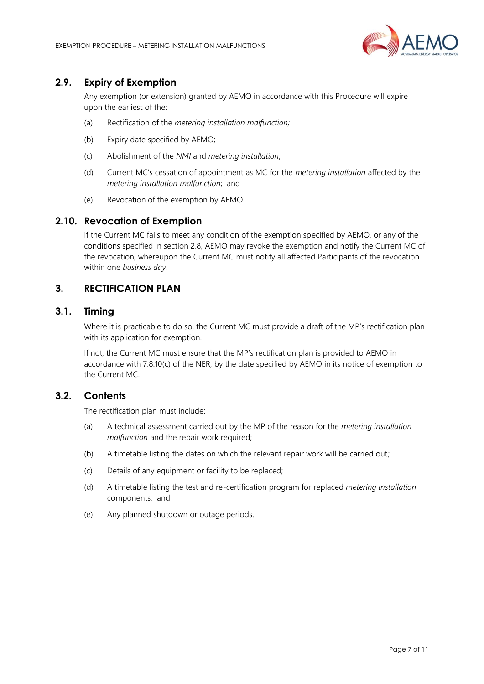

# <span id="page-6-0"></span>**2.9. Expiry of Exemption**

Any exemption (or extension) granted by AEMO in accordance with this Procedure will expire upon the earliest of the:

- (a) Rectification of the *metering installation malfunction;*
- (b) Expiry date specified by AEMO;
- (c) Abolishment of the *NMI* and *metering installation*;
- (d) Current MC's cessation of appointment as MC for the *metering installation* affected by the *metering installation malfunction*; and
- (e) Revocation of the exemption by AEMO.

#### <span id="page-6-1"></span>**2.10. Revocation of Exemption**

If the Current MC fails to meet any condition of the exemption specified by AEMO, or any of the conditions specified in section 2.8, AEMO may revoke the exemption and notify the Current MC of the revocation, whereupon the Current MC must notify all affected Participants of the revocation within one *business day*.

# <span id="page-6-2"></span>**3. RECTIFICATION PLAN**

#### <span id="page-6-3"></span>**3.1. Timing**

Where it is practicable to do so, the Current MC must provide a draft of the MP's rectification plan with its application for exemption.

If not, the Current MC must ensure that the MP's rectification plan is provided to AEMO in accordance with 7.8.10(c) of the NER, by the date specified by AEMO in its notice of exemption to the Current MC.

#### <span id="page-6-4"></span>**3.2. Contents**

The rectification plan must include:

- (a) A technical assessment carried out by the MP of the reason for the *metering installation malfunction* and the repair work required;
- (b) A timetable listing the dates on which the relevant repair work will be carried out;
- (c) Details of any equipment or facility to be replaced;
- (d) A timetable listing the test and re-certification program for replaced *metering installation* components; and
- (e) Any planned shutdown or outage periods.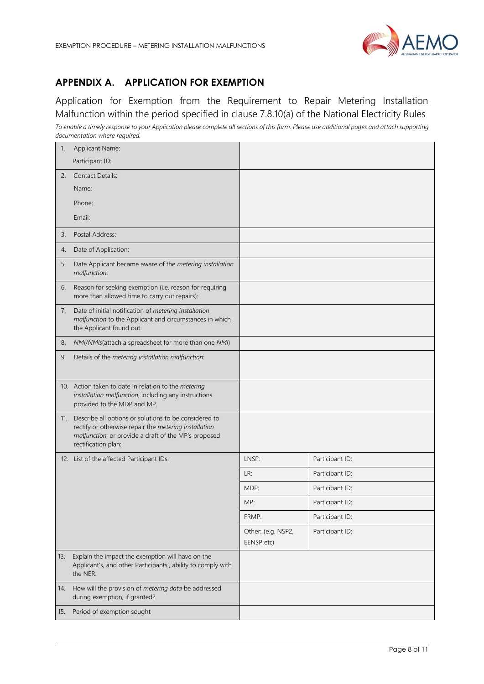

# <span id="page-7-0"></span>**APPENDIX A. APPLICATION FOR EXEMPTION**

Application for Exemption from the Requirement to Repair Metering Installation Malfunction within the period specified in clause 7.8.10(a) of the National Electricity Rules *To enable a timely response to your Application please complete all sections of this form. Please use additional pages and attach supporting documentation where required.*

| 1.  | Applicant Name:                                                                                                                                                                               |                                  |                 |
|-----|-----------------------------------------------------------------------------------------------------------------------------------------------------------------------------------------------|----------------------------------|-----------------|
|     | Participant ID:                                                                                                                                                                               |                                  |                 |
| 2.  | <b>Contact Details:</b>                                                                                                                                                                       |                                  |                 |
|     | Name:                                                                                                                                                                                         |                                  |                 |
|     | Phone:                                                                                                                                                                                        |                                  |                 |
|     | Email:                                                                                                                                                                                        |                                  |                 |
| 3.  | Postal Address:                                                                                                                                                                               |                                  |                 |
| 4.  | Date of Application:                                                                                                                                                                          |                                  |                 |
| 5.  | Date Applicant became aware of the metering installation<br>malfunction:                                                                                                                      |                                  |                 |
| 6.  | Reason for seeking exemption (i.e. reason for requiring<br>more than allowed time to carry out repairs):                                                                                      |                                  |                 |
| 7.  | Date of initial notification of metering installation<br>malfunction to the Applicant and circumstances in which<br>the Applicant found out:                                                  |                                  |                 |
| 8.  | NMI/NMIs(attach a spreadsheet for more than one NMI)                                                                                                                                          |                                  |                 |
| 9.  | Details of the metering installation malfunction:                                                                                                                                             |                                  |                 |
|     | 10. Action taken to date in relation to the metering<br>installation malfunction, including any instructions<br>provided to the MDP and MP.                                                   |                                  |                 |
| 11. | Describe all options or solutions to be considered to<br>rectify or otherwise repair the metering installation<br>malfunction, or provide a draft of the MP's proposed<br>rectification plan: |                                  |                 |
|     | 12. List of the affected Participant IDs:                                                                                                                                                     | LNSP:                            | Participant ID: |
|     |                                                                                                                                                                                               | LR:                              | Participant ID: |
|     |                                                                                                                                                                                               | MDP:                             | Participant ID: |
|     |                                                                                                                                                                                               | MP:                              | Participant ID: |
|     |                                                                                                                                                                                               | FRMP:                            | Participant ID: |
|     |                                                                                                                                                                                               | Other: (e.g. NSP2,<br>EENSP etc) | Participant ID: |
| 13. | Explain the impact the exemption will have on the<br>Applicant's, and other Participants', ability to comply with<br>the NER:                                                                 |                                  |                 |
| 14. | How will the provision of metering data be addressed<br>during exemption, if granted?                                                                                                         |                                  |                 |
| 15. | Period of exemption sought                                                                                                                                                                    |                                  |                 |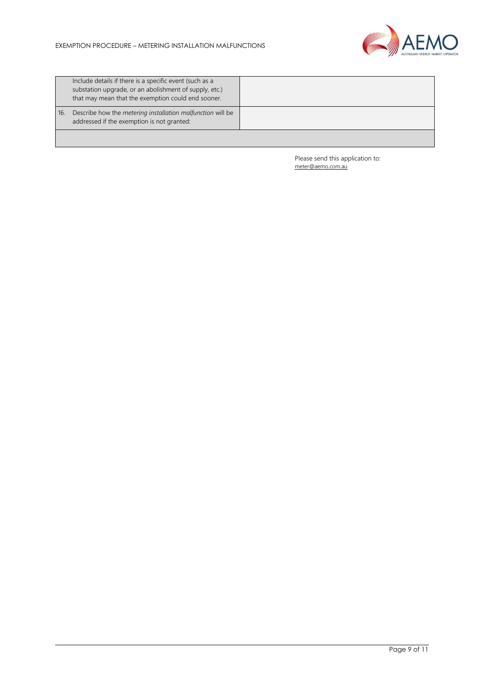

|     | Include details if there is a specific event (such as a<br>substation upgrade, or an abolishment of supply, etc.)<br>that may mean that the exemption could end sooner. |  |
|-----|-------------------------------------------------------------------------------------------------------------------------------------------------------------------------|--|
| 16. | Describe how the <i>metering installation malfunction</i> will be<br>addressed if the exemption is not granted:                                                         |  |
|     |                                                                                                                                                                         |  |

Please send this application to: [meter@aemo.com.au](mailto:meter@nemmco.com.au)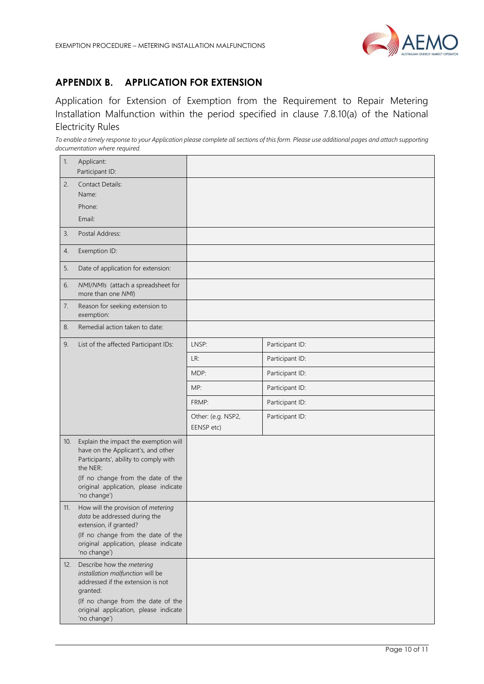

# <span id="page-9-0"></span>**APPENDIX B. APPLICATION FOR EXTENSION**

Application for Extension of Exemption from the Requirement to Repair Metering Installation Malfunction within the period specified in clause 7.8.10(a) of the National Electricity Rules

*To enable a timely response to your Application please complete all sections of this form. Please use additional pages and attach supporting documentation where required.* 

| 1.  | Applicant:<br>Participant ID:                                                                                                                                                                                                   |                                  |                 |
|-----|---------------------------------------------------------------------------------------------------------------------------------------------------------------------------------------------------------------------------------|----------------------------------|-----------------|
| 2.  | <b>Contact Details:</b><br>Name:<br>Phone:<br>Email:                                                                                                                                                                            |                                  |                 |
| 3.  | Postal Address:                                                                                                                                                                                                                 |                                  |                 |
| 4.  | Exemption ID:                                                                                                                                                                                                                   |                                  |                 |
| 5.  | Date of application for extension:                                                                                                                                                                                              |                                  |                 |
| 6.  | NMI/NMIs (attach a spreadsheet for<br>more than one NMI)                                                                                                                                                                        |                                  |                 |
| 7.  | Reason for seeking extension to<br>exemption:                                                                                                                                                                                   |                                  |                 |
| 8.  | Remedial action taken to date:                                                                                                                                                                                                  |                                  |                 |
| 9.  | List of the affected Participant IDs:                                                                                                                                                                                           | LNSP:                            | Participant ID: |
|     |                                                                                                                                                                                                                                 | LR:                              | Participant ID: |
|     |                                                                                                                                                                                                                                 | MDP:                             | Participant ID: |
|     |                                                                                                                                                                                                                                 | MP:                              | Participant ID: |
|     |                                                                                                                                                                                                                                 | FRMP:                            | Participant ID: |
|     |                                                                                                                                                                                                                                 | Other: (e.g. NSP2,<br>EENSP etc) | Participant ID: |
| 10. | Explain the impact the exemption will<br>have on the Applicant's, and other<br>Participants', ability to comply with<br>the NER:<br>(If no change from the date of the<br>original application, please indicate<br>'no change') |                                  |                 |
| 11. | How will the provision of metering<br>data be addressed during the<br>extension, if granted?<br>(If no change from the date of the<br>original application, please indicate                                                     |                                  |                 |
| 12. | 'no change')<br>Describe how the metering<br>installation malfunction will be<br>addressed if the extension is not<br>granted:<br>(If no change from the date of the<br>original application, please indicate<br>'no change')   |                                  |                 |